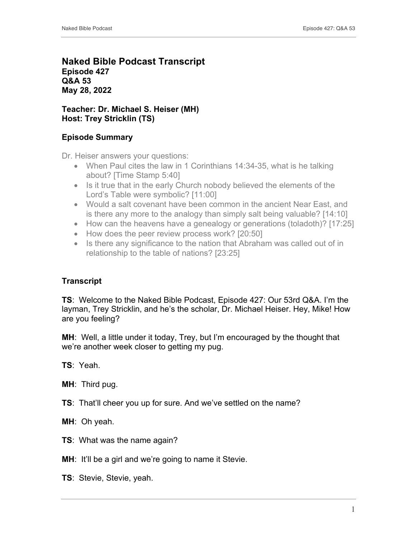## **Naked Bible Podcast Transcript Episode 427 Q&A 53 May 28, 2022**

## **Teacher: Dr. Michael S. Heiser (MH) Host: Trey Stricklin (TS)**

# **Episode Summary**

Dr. Heiser answers your questions:

- When Paul cites the law in 1 Corinthians 14:34-35, what is he talking about? [Time Stamp 5:40]
- Is it true that in the early Church nobody believed the elements of the Lord's Table were symbolic? [11:00]
- Would a salt covenant have been common in the ancient Near East, and is there any more to the analogy than simply salt being valuable? [14:10]
- How can the heavens have a genealogy or generations (toladoth)? [17:25]
- How does the peer review process work? [20:50]
- Is there any significance to the nation that Abraham was called out of in relationship to the table of nations? [23:25]

# **Transcript**

**TS**: Welcome to the Naked Bible Podcast, Episode 427: Our 53rd Q&A. I'm the layman, Trey Stricklin, and he's the scholar, Dr. Michael Heiser. Hey, Mike! How are you feeling?

**MH**: Well, a little under it today, Trey, but I'm encouraged by the thought that we're another week closer to getting my pug.

**TS**: Yeah.

**MH**: Third pug.

**TS**: That'll cheer you up for sure. And we've settled on the name?

**MH**: Oh yeah.

**TS**: What was the name again?

**MH:** It'll be a girl and we're going to name it Stevie.

**TS**: Stevie, Stevie, yeah.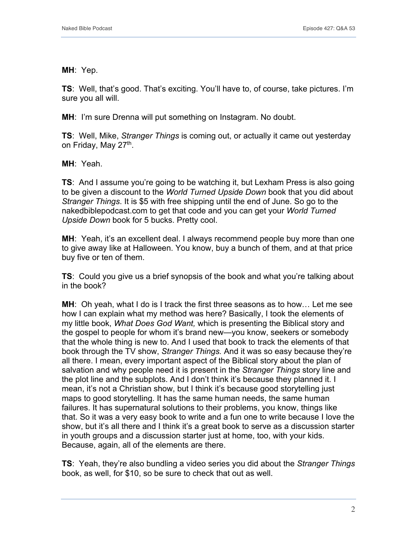**MH**: Yep.

**TS**: Well, that's good. That's exciting. You'll have to, of course, take pictures. I'm sure you all will.

**MH**: I'm sure Drenna will put something on Instagram. No doubt.

**TS**: Well, Mike, *Stranger Things* is coming out, or actually it came out yesterday on Friday, May 27<sup>th</sup>.

**MH**: Yeah.

**TS:** And I assume you're going to be watching it, but Lexham Press is also going to be given a discount to the *World Turned Upside Down* book that you did about *Stranger Things*. It is \$5 with free shipping until the end of June. So go to the nakedbiblepodcast.com to get that code and you can get your *World Turned Upside Down* book for 5 bucks. Pretty cool.

**MH:** Yeah, it's an excellent deal. I always recommend people buy more than one to give away like at Halloween. You know, buy a bunch of them, and at that price buy five or ten of them.

**TS**: Could you give us a brief synopsis of the book and what you're talking about in the book?

**MH**: Oh yeah, what I do is I track the first three seasons as to how… Let me see how I can explain what my method was here? Basically, I took the elements of my little book, *What Does God Want,* which is presenting the Biblical story and the gospel to people for whom it's brand new—you know, seekers or somebody that the whole thing is new to. And I used that book to track the elements of that book through the TV show, *Stranger Things.* And it was so easy because they're all there. I mean, every important aspect of the Biblical story about the plan of salvation and why people need it is present in the *Stranger Things* story line and the plot line and the subplots. And I don't think it's because they planned it. I mean, it's not a Christian show, but I think it's because good storytelling just maps to good storytelling. It has the same human needs, the same human failures. It has supernatural solutions to their problems, you know, things like that. So it was a very easy book to write and a fun one to write because I love the show, but it's all there and I think it's a great book to serve as a discussion starter in youth groups and a discussion starter just at home, too, with your kids. Because, again, all of the elements are there.

**TS**: Yeah, they're also bundling a video series you did about the *Stranger Things* book, as well, for \$10, so be sure to check that out as well.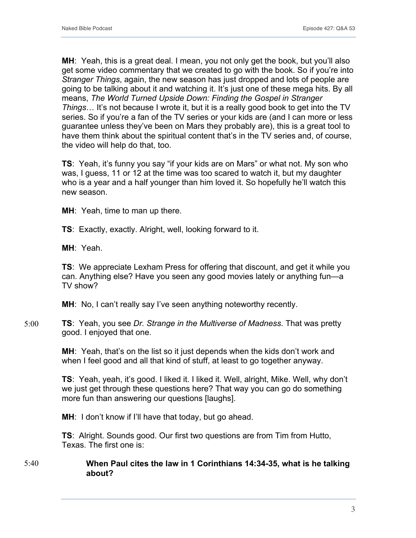**MH**: Yeah, this is a great deal. I mean, you not only get the book, but you'll also get some video commentary that we created to go with the book. So if you're into *Stranger Things*, again, the new season has just dropped and lots of people are going to be talking about it and watching it. It's just one of these mega hits. By all means, *The World Turned Upside Down: Finding the Gospel in Stranger Things*… It's not because I wrote it, but it is a really good book to get into the TV series. So if you're a fan of the TV series or your kids are (and I can more or less guarantee unless they've been on Mars they probably are), this is a great tool to have them think about the spiritual content that's in the TV series and, of course, the video will help do that, too.

**TS**: Yeah, it's funny you say "if your kids are on Mars" or what not. My son who was, I guess, 11 or 12 at the time was too scared to watch it, but my daughter who is a year and a half younger than him loved it. So hopefully he'll watch this new season.

**MH**: Yeah, time to man up there.

**TS**: Exactly, exactly. Alright, well, looking forward to it.

**MH**: Yeah.

**TS**: We appreciate Lexham Press for offering that discount, and get it while you can. Anything else? Have you seen any good movies lately or anything fun—a TV show?

**MH:** No, I can't really say I've seen anything noteworthy recently.

**TS**: Yeah, you see *Dr. Strange in the Multiverse of Madness*. That was pretty good. I enjoyed that one. 5:00

> **MH**: Yeah, that's on the list so it just depends when the kids don't work and when I feel good and all that kind of stuff, at least to go together anyway.

**TS**: Yeah, yeah, it's good. I liked it. I liked it. Well, alright, Mike. Well, why don't we just get through these questions here? That way you can go do something more fun than answering our questions [laughs].

**MH**: I don't know if I'll have that today, but go ahead.

**TS**: Alright. Sounds good. Our first two questions are from Tim from Hutto, Texas. The first one is:

#### **When Paul cites the law in 1 Corinthians 14:34-35, what is he talking about?** 5:40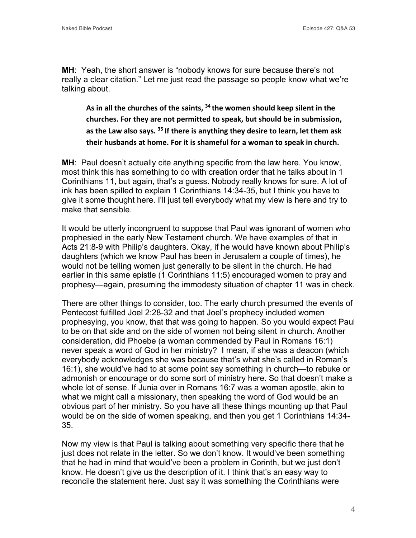**MH:** Yeah, the short answer is "nobody knows for sure because there's not really a clear citation." Let me just read the passage so people know what we're talking about.

**As in all the churches of the saints, <sup>34</sup> the women should keep silent in the churches. For they are not permitted to speak, but should be in submission, as the Law also says. <sup>35</sup> If there is anything they desire to learn, let them ask their husbands at home. For it is shameful for a woman to speak in church.**

**MH**: Paul doesn't actually cite anything specific from the law here. You know, most think this has something to do with creation order that he talks about in 1 Corinthians 11, but again, that's a guess. Nobody really knows for sure. A lot of ink has been spilled to explain 1 Corinthians 14:34-35, but I think you have to give it some thought here. I'll just tell everybody what my view is here and try to make that sensible.

It would be utterly incongruent to suppose that Paul was ignorant of women who prophesied in the early New Testament church. We have examples of that in Acts 21:8-9 with Philip's daughters. Okay, if he would have known about Philip's daughters (which we know Paul has been in Jerusalem a couple of times), he would not be telling women just generally to be silent in the church. He had earlier in this same epistle (1 Corinthians 11:5) encouraged women to pray and prophesy—again, presuming the immodesty situation of chapter 11 was in check.

There are other things to consider, too. The early church presumed the events of Pentecost fulfilled Joel 2:28-32 and that Joel's prophecy included women prophesying, you know, that that was going to happen. So you would expect Paul to be on that side and on the side of women not being silent in church. Another consideration, did Phoebe (a woman commended by Paul in Romans 16:1) never speak a word of God in her ministry? I mean, if she was a deacon (which everybody acknowledges she was because that's what she's called in Roman's 16:1), she would've had to at some point say something in church—to rebuke or admonish or encourage or do some sort of ministry here. So that doesn't make a whole lot of sense. If Junia over in Romans 16:7 was a woman apostle, akin to what we might call a missionary, then speaking the word of God would be an obvious part of her ministry. So you have all these things mounting up that Paul would be on the side of women speaking, and then you get 1 Corinthians 14:34- 35.

Now my view is that Paul is talking about something very specific there that he just does not relate in the letter. So we don't know. It would've been something that he had in mind that would've been a problem in Corinth, but we just don't know. He doesn't give us the description of it. I think that's an easy way to reconcile the statement here. Just say it was something the Corinthians were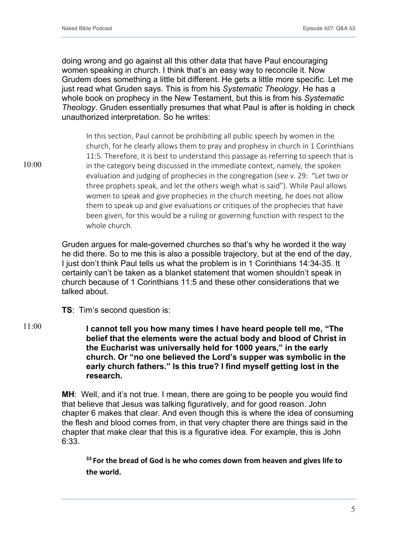doing wrong and go against all this other data that have Paul encouraging women speaking in church. I think that's an easy way to reconcile it. Now Grudem does something a little bit different. He gets a little more specific. Let me just read what Gruden says. This is from his *Systematic Theology*. He has a whole book on prophecy in the New Testament, but this is from his *Systematic Theology*. Gruden essentially presumes that what Paul is after is holding in check unauthorized interpretation. So he writes:

In this section, Paul cannot be prohibiting all public speech by women in the church, for he clearly allows them to pray and prophesy in church in 1 Corinthians 11:5. Therefore, it is best to understand this passage as referring to speech that is in the category being discussed in the immediate context, namely, the spoken evaluation and judging of prophecies in the congregation (see v. 29: "Let two or three prophets speak, and let the others weigh what is said"). While Paul allows women to speak and give prophecies in the church meeting, he does not allow them to speak up and give evaluations or critiques of the prophecies that have been given, for this would be a ruling or governing function with respect to the whole church.

Gruden argues for male-governed churches so that's why he worded it the way he did there. So to me this is also a possible trajectory, but at the end of the day, I just don't think Paul tells us what the problem is in 1 Corinthians 14:34-35. It certainly can't be taken as a blanket statement that women shouldn't speak in church because of 1 Corinthians 11:5 and these other considerations that we talked about.

**TS**: Tim's second question is:

**I cannot tell you how many times I have heard people tell me, "The belief that the elements were the actual body and blood of Christ in the Eucharist was universally held for 1000 years," in the early church. Or "no one believed the Lord's supper was symbolic in the early church fathers." Is this true? I find myself getting lost in the research.** 11:00

> **MH:** Well, and it's not true. I mean, there are going to be people you would find that believe that Jesus was talking figuratively, and for good reason. John chapter 6 makes that clear. And even though this is where the idea of consuming the flesh and blood comes from, in that very chapter there are things said in the chapter that make clear that this is a figurative idea. For example, this is John 6:33.

**<sup>33</sup> For the bread of God is he who comes down from heaven and gives life to the world.**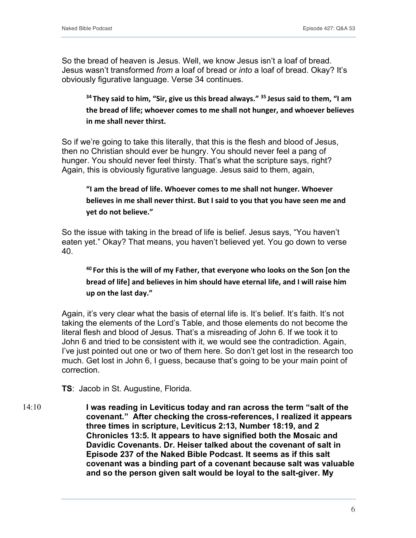So the bread of heaven is Jesus. Well, we know Jesus isn't a loaf of bread. Jesus wasn't transformed *from* a loaf of bread or *into* a loaf of bread. Okay? It's obviously figurative language. Verse 34 continues.

**<sup>34</sup> They said to him, "Sir, give us this bread always." <sup>35</sup> Jesus said to them, "I am the bread of life; whoever comes to me shall not hunger, and whoever believes in me shall never thirst.**

So if we're going to take this literally, that this is the flesh and blood of Jesus, then no Christian should ever be hungry. You should never feel a pang of hunger. You should never feel thirsty. That's what the scripture says, right? Again, this is obviously figurative language. Jesus said to them, again,

# **"I am the bread of life. Whoever comes to me shall not hunger. Whoever believes in me shall never thirst. But I said to you that you have seen me and yet do not believe."**

So the issue with taking in the bread of life is belief. Jesus says, "You haven't eaten yet." Okay? That means, you haven't believed yet. You go down to verse 40.

# **<sup>40</sup> For this is the will of my Father, that everyone who looks on the Son [on the bread of life] and believes in him should have eternal life, and I will raise him up on the last day."**

Again, it's very clear what the basis of eternal life is. It's belief. It's faith. It's not taking the elements of the Lord's Table, and those elements do not become the literal flesh and blood of Jesus. That's a misreading of John 6. If we took it to John 6 and tried to be consistent with it, we would see the contradiction. Again, I've just pointed out one or two of them here. So don't get lost in the research too much. Get lost in John 6, I guess, because that's going to be your main point of correction.

**TS**: Jacob in St. Augustine, Florida.

**I was reading in Leviticus today and ran across the term "salt of the covenant." After checking the cross-references, I realized it appears three times in scripture, Leviticus 2:13, Number 18:19, and 2 Chronicles 13:5. It appears to have signified both the Mosaic and Davidic Covenants. Dr. Heiser talked about the covenant of salt in Episode 237 of the Naked Bible Podcast. It seems as if this salt covenant was a binding part of a covenant because salt was valuable and so the person given salt would be loyal to the salt-giver. My**  14:10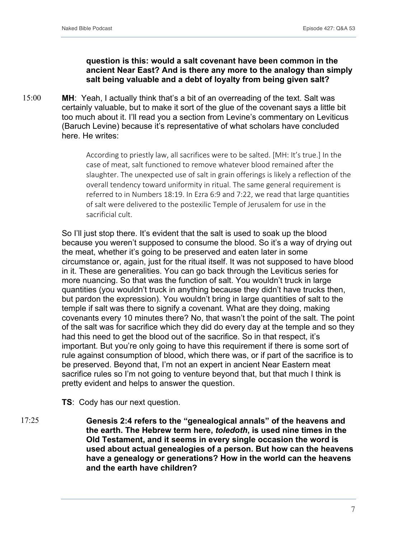## **question is this: would a salt covenant have been common in the ancient Near East? And is there any more to the analogy than simply salt being valuable and a debt of loyalty from being given salt?**

**MH**: Yeah, I actually think that's a bit of an overreading of the text. Salt was certainly valuable, but to make it sort of the glue of the covenant says a little bit too much about it. I'll read you a section from Levine's commentary on Leviticus (Baruch Levine) because it's representative of what scholars have concluded here. He writes: 15:00

> According to priestly law, all sacrifices were to be salted. [MH: It's true.] In the case of meat, salt functioned to remove whatever blood remained after the slaughter. The unexpected use of salt in grain offerings is likely a reflection of the overall tendency toward uniformity in ritual. The same general requirement is referred to in Numbers 18:19. In Ezra 6:9 and 7:22, we read that large quantities of salt were delivered to the postexilic Temple of Jerusalem for use in the sacrificial cult.

So I'll just stop there. It's evident that the salt is used to soak up the blood because you weren't supposed to consume the blood. So it's a way of drying out the meat, whether it's going to be preserved and eaten later in some circumstance or, again, just for the ritual itself. It was not supposed to have blood in it. These are generalities. You can go back through the Leviticus series for more nuancing. So that was the function of salt. You wouldn't truck in large quantities (you wouldn't truck in anything because they didn't have trucks then, but pardon the expression). You wouldn't bring in large quantities of salt to the temple if salt was there to signify a covenant. What are they doing, making covenants every 10 minutes there? No, that wasn't the point of the salt. The point of the salt was for sacrifice which they did do every day at the temple and so they had this need to get the blood out of the sacrifice. So in that respect, it's important. But you're only going to have this requirement if there is some sort of rule against consumption of blood, which there was, or if part of the sacrifice is to be preserved. Beyond that, I'm not an expert in ancient Near Eastern meat sacrifice rules so I'm not going to venture beyond that, but that much I think is pretty evident and helps to answer the question.

**TS**: Cody has our next question.

**Genesis 2:4 refers to the "genealogical annals" of the heavens and the earth. The Hebrew term here,** *toledoth***, is used nine times in the Old Testament, and it seems in every single occasion the word is used about actual genealogies of a person. But how can the heavens have a genealogy or generations? How in the world can the heavens and the earth have children?** 17:25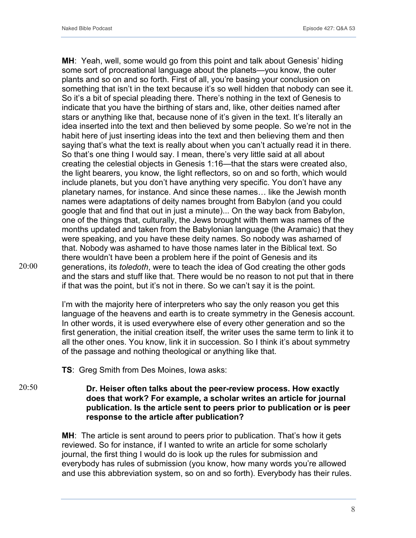**MH**: Yeah, well, some would go from this point and talk about Genesis' hiding some sort of procreational language about the planets—you know, the outer plants and so on and so forth. First of all, you're basing your conclusion on something that isn't in the text because it's so well hidden that nobody can see it. So it's a bit of special pleading there. There's nothing in the text of Genesis to indicate that you have the birthing of stars and, like, other deities named after stars or anything like that, because none of it's given in the text. It's literally an idea inserted into the text and then believed by some people. So we're not in the habit here of just inserting ideas into the text and then believing them and then saying that's what the text is really about when you can't actually read it in there. So that's one thing I would say. I mean, there's very little said at all about creating the celestial objects in Genesis 1:16—that the stars were created also, the light bearers, you know, the light reflectors, so on and so forth, which would include planets, but you don't have anything very specific. You don't have any planetary names, for instance. And since these names… like the Jewish month names were adaptations of deity names brought from Babylon (and you could google that and find that out in just a minute)... On the way back from Babylon, one of the things that, culturally, the Jews brought with them was names of the months updated and taken from the Babylonian language (the Aramaic) that they were speaking, and you have these deity names. So nobody was ashamed of that. Nobody was ashamed to have those names later in the Biblical text. So there wouldn't have been a problem here if the point of Genesis and its generations, its *toledoth*, were to teach the idea of God creating the other gods and the stars and stuff like that. There would be no reason to not put that in there if that was the point, but it's not in there. So we can't say it is the point.

I'm with the majority here of interpreters who say the only reason you get this language of the heavens and earth is to create symmetry in the Genesis account. In other words, it is used everywhere else of every other generation and so the first generation, the initial creation itself, the writer uses the same term to link it to all the other ones. You know, link it in succession. So I think it's about symmetry of the passage and nothing theological or anything like that.

**TS**: Greg Smith from Des Moines, Iowa asks:

## **Dr. Heiser often talks about the peer-review process. How exactly does that work? For example, a scholar writes an article for journal publication. Is the article sent to peers prior to publication or is peer response to the article after publication?**

**MH**: The article is sent around to peers prior to publication. That's how it gets reviewed. So for instance, if I wanted to write an article for some scholarly journal, the first thing I would do is look up the rules for submission and everybody has rules of submission (you know, how many words you're allowed and use this abbreviation system, so on and so forth). Everybody has their rules.

20:50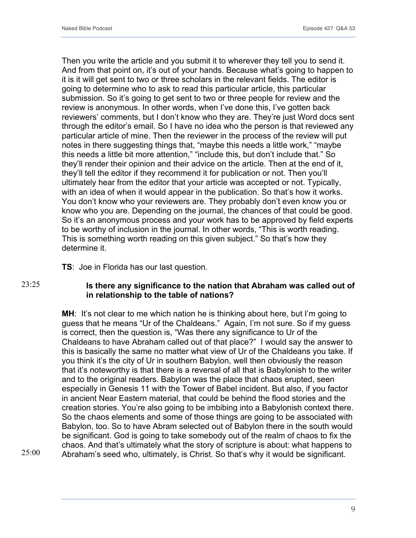Then you write the article and you submit it to wherever they tell you to send it. And from that point on, it's out of your hands. Because what's going to happen to it is it will get sent to two or three scholars in the relevant fields. The editor is going to determine who to ask to read this particular article, this particular submission. So it's going to get sent to two or three people for review and the review is anonymous. In other words, when I've done this, I've gotten back reviewers' comments, but I don't know who they are. They're just Word docs sent through the editor's email. So I have no idea who the person is that reviewed any particular article of mine. Then the reviewer in the process of the review will put notes in there suggesting things that, "maybe this needs a little work," "maybe this needs a little bit more attention," "include this, but don't include that." So they'll render their opinion and their advice on the article. Then at the end of it, they'll tell the editor if they recommend it for publication or not. Then you'll ultimately hear from the editor that your article was accepted or not. Typically, with an idea of when it would appear in the publication. So that's how it works. You don't know who your reviewers are. They probably don't even know you or know who you are. Depending on the journal, the chances of that could be good. So it's an anonymous process and your work has to be approved by field experts to be worthy of inclusion in the journal. In other words, "This is worth reading. This is something worth reading on this given subject." So that's how they determine it.

**TS**: Joe in Florida has our last question.

## 23:25

25:00

## **Is there any significance to the nation that Abraham was called out of in relationship to the table of nations?**

**MH:** It's not clear to me which nation he is thinking about here, but I'm going to guess that he means "Ur of the Chaldeans." Again, I'm not sure. So if my guess is correct, then the question is, "Was there any significance to Ur of the Chaldeans to have Abraham called out of that place?" I would say the answer to this is basically the same no matter what view of Ur of the Chaldeans you take. If you think it's the city of Ur in southern Babylon, well then obviously the reason that it's noteworthy is that there is a reversal of all that is Babylonish to the writer and to the original readers. Babylon was the place that chaos erupted, seen especially in Genesis 11 with the Tower of Babel incident. But also, if you factor in ancient Near Eastern material, that could be behind the flood stories and the creation stories. You're also going to be imbibing into a Babylonish context there. So the chaos elements and some of those things are going to be associated with Babylon, too. So to have Abram selected out of Babylon there in the south would be significant. God is going to take somebody out of the realm of chaos to fix the chaos. And that's ultimately what the story of scripture is about: what happens to Abraham's seed who, ultimately, is Christ. So that's why it would be significant.